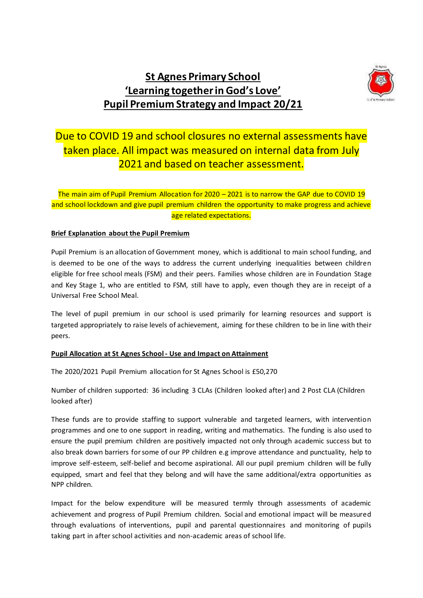# **St Agnes Primary School 'Learning together in God's Love' Pupil Premium Strategy and Impact 20/21**



## Due to COVID 19 and school closures no external assessments have taken place. All impact was measured on internal data from July 2021 and based on teacher assessment.

The main aim of Pupil Premium Allocation for 2020 – 2021 is to narrow the GAP due to COVID 19 and school lockdown and give pupil premium children the opportunity to make progress and achieve age related expectations.

### **Brief Explanation about the Pupil Premium**

Pupil Premium is an allocation of Government money, which is additional to main school funding, and is deemed to be one of the ways to address the current underlying inequalities between children eligible for free school meals (FSM) and their peers. Families whose children are in Foundation Stage and Key Stage 1, who are entitled to FSM, still have to apply, even though they are in receipt of a Universal Free School Meal.

The level of pupil premium in our school is used primarily for learning resources and support is targeted appropriately to raise levels of achievement, aiming for these children to be in line with their peers.

#### **Pupil Allocation at St Agnes School - Use and Impact on Attainment**

The 2020/2021 Pupil Premium allocation for St Agnes School is £50,270

Number of children supported: 36 including 3 CLAs (Children looked after) and 2 Post CLA (Children looked after)

These funds are to provide staffing to support vulnerable and targeted learners, with intervention programmes and one to one support in reading, writing and mathematics. The funding is also used to ensure the pupil premium children are positively impacted not only through academic success but to also break down barriers for some of our PP children e.g improve attendance and punctuality, help to improve self-esteem, self-belief and become aspirational. All our pupil premium children will be fully equipped, smart and feel that they belong and will have the same additional/extra opportunities as NPP children.

Impact for the below expenditure will be measured termly through assessments of academic achievement and progress of Pupil Premium children. Social and emotional impact will be measured through evaluations of interventions, pupil and parental questionnaires and monitoring of pupils taking part in after school activities and non-academic areas of school life.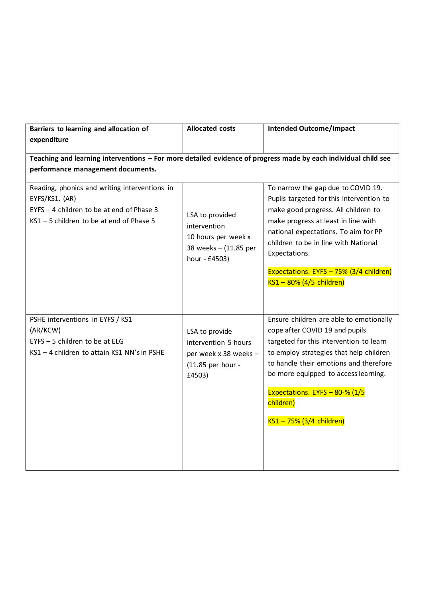| Barriers to learning and allocation of                                                                                                                   | <b>Allocated costs</b>                                                                           | <b>Intended Outcome/Impact</b>                                                                                                                                                                                                                                                                                                       |
|----------------------------------------------------------------------------------------------------------------------------------------------------------|--------------------------------------------------------------------------------------------------|--------------------------------------------------------------------------------------------------------------------------------------------------------------------------------------------------------------------------------------------------------------------------------------------------------------------------------------|
| expenditure                                                                                                                                              |                                                                                                  |                                                                                                                                                                                                                                                                                                                                      |
| Teaching and learning interventions - For more detailed evidence of progress made by each individual child see<br>performance management documents.      |                                                                                                  |                                                                                                                                                                                                                                                                                                                                      |
| Reading, phonics and writing interventions in<br>EYFS/KS1. (AR)<br>EYFS - 4 children to be at end of Phase 3<br>KS1 - 5 children to be at end of Phase 5 | LSA to provided<br>intervention<br>10 hours per week x<br>38 weeks - (11.85 per<br>hour - £4503) | To narrow the gap due to COVID 19.<br>Pupils targeted for this intervention to<br>make good progress. All children to<br>make progress at least in line with<br>national expectations. To aim for PP<br>children to be in line with National<br>Expectations.<br>Expectations. EYFS - 75% (3/4 children)<br>KS1 - 80% (4/5 children) |
| PSHE interventions in EYFS / KS1<br>(AR/KCW)<br>EYFS - 5 children to be at ELG<br>KS1 - 4 children to attain KS1 NN's in PSHE                            | LSA to provide<br>intervention 5 hours<br>per week x 38 weeks -<br>(11.85 per hour -<br>£4503)   | Ensure children are able to emotionally<br>cope after COVID 19 and pupils<br>targeted for this intervention to learn<br>to employ strategies that help children<br>to handle their emotions and therefore<br>be more equipped to access learning.<br>Expectations. EYFS - 80-% (1/5<br>children)<br>KS1 - 75% (3/4 children)         |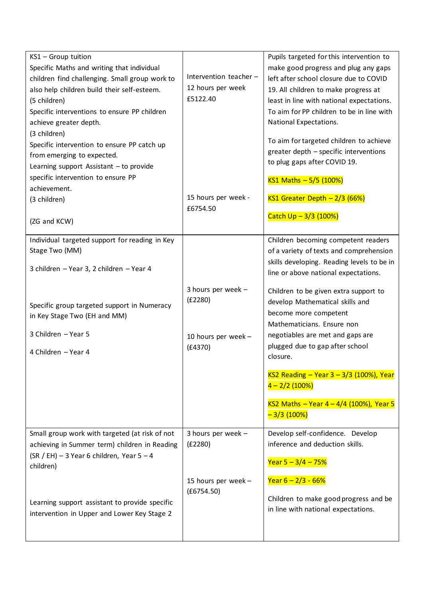| KS1 - Group tuition<br>Specific Maths and writing that individual<br>children find challenging. Small group work to<br>also help children build their self-esteem.<br>(5 children)<br>Specific interventions to ensure PP children<br>achieve greater depth.<br>(3 children)<br>Specific intervention to ensure PP catch up<br>from emerging to expected.<br>Learning support Assistant - to provide<br>specific intervention to ensure PP<br>achievement. | Intervention teacher -<br>12 hours per week<br>£5122.40         | Pupils targeted for this intervention to<br>make good progress and plug any gaps<br>left after school closure due to COVID<br>19. All children to make progress at<br>least in line with national expectations.<br>To aim for PP children to be in line with<br>National Expectations.<br>To aim for targeted children to achieve<br>greater depth - specific interventions<br>to plug gaps after COVID 19.<br>KS1 Maths - 5/5 (100%) |
|------------------------------------------------------------------------------------------------------------------------------------------------------------------------------------------------------------------------------------------------------------------------------------------------------------------------------------------------------------------------------------------------------------------------------------------------------------|-----------------------------------------------------------------|---------------------------------------------------------------------------------------------------------------------------------------------------------------------------------------------------------------------------------------------------------------------------------------------------------------------------------------------------------------------------------------------------------------------------------------|
| (3 children)<br>(ZG and KCW)                                                                                                                                                                                                                                                                                                                                                                                                                               | 15 hours per week -<br>£6754.50                                 | KS1 Greater Depth $-2/3$ (66%)<br>Catch $Up - 3/3$ (100%)                                                                                                                                                                                                                                                                                                                                                                             |
| Individual targeted support for reading in Key<br>Stage Two (MM)<br>3 children - Year 3, 2 children - Year 4                                                                                                                                                                                                                                                                                                                                               |                                                                 | Children becoming competent readers<br>of a variety of texts and comprehension<br>skills developing. Reading levels to be in<br>line or above national expectations.                                                                                                                                                                                                                                                                  |
| Specific group targeted support in Numeracy<br>in Key Stage Two (EH and MM)<br>3 Children - Year 5<br>4 Children - Year 4                                                                                                                                                                                                                                                                                                                                  | 3 hours per week -<br>(E2280)<br>10 hours per week -<br>(E4370) | Children to be given extra support to<br>develop Mathematical skills and<br>become more competent<br>Mathematicians. Ensure non<br>negotiables are met and gaps are<br>plugged due to gap after school<br>closure.                                                                                                                                                                                                                    |
|                                                                                                                                                                                                                                                                                                                                                                                                                                                            |                                                                 | KS2 Reading - Year 3 - 3/3 (100%), Year<br>$4 - 2/2$ (100%)<br>KS2 Maths - Year $4 - 4/4$ (100%), Year 5<br>$-3/3(100%)$                                                                                                                                                                                                                                                                                                              |
| Small group work with targeted (at risk of not<br>achieving in Summer term) children in Reading<br>$(SR / EH)$ – 3 Year 6 children, Year 5 – 4<br>children)                                                                                                                                                                                                                                                                                                | 3 hours per week -<br>(E2280)                                   | Develop self-confidence. Develop<br>inference and deduction skills.<br>Year $5 - 3/4 - 75%$                                                                                                                                                                                                                                                                                                                                           |
| Learning support assistant to provide specific<br>intervention in Upper and Lower Key Stage 2                                                                                                                                                                                                                                                                                                                                                              | 15 hours per week -<br>(E6754.50)                               | Year $6 - 2/3 - 66%$<br>Children to make good progress and be<br>in line with national expectations.                                                                                                                                                                                                                                                                                                                                  |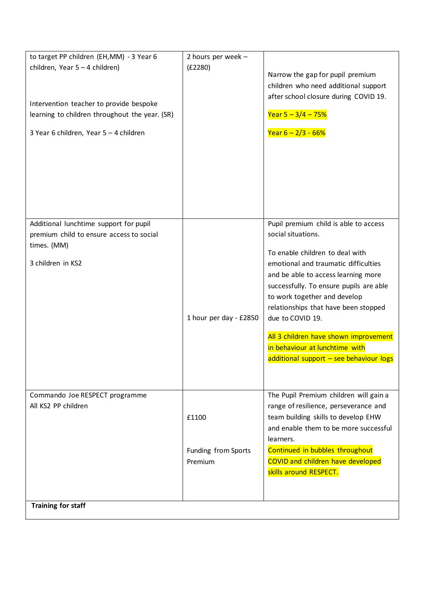| to target PP children (EH, MM) - 3 Year 6<br>children, Year 5 - 4 children)<br>Intervention teacher to provide bespoke<br>learning to children throughout the year. (SR)<br>3 Year 6 children, Year 5 - 4 children | 2 hours per week -<br>(E2280)           | Narrow the gap for pupil premium<br>children who need additional support<br>after school closure during COVID 19.<br>Year $5 - 3/4 - 75%$<br>Year $6 - 2/3 - 66%$                                                                                                                                                                                                                                                                          |
|--------------------------------------------------------------------------------------------------------------------------------------------------------------------------------------------------------------------|-----------------------------------------|--------------------------------------------------------------------------------------------------------------------------------------------------------------------------------------------------------------------------------------------------------------------------------------------------------------------------------------------------------------------------------------------------------------------------------------------|
| Additional lunchtime support for pupil<br>premium child to ensure access to social<br>times. (MM)<br>3 children in KS2                                                                                             | 1 hour per day - £2850                  | Pupil premium child is able to access<br>social situations.<br>To enable children to deal with<br>emotional and traumatic difficulties<br>and be able to access learning more<br>successfully. To ensure pupils are able<br>to work together and develop<br>relationships that have been stopped<br>due to COVID 19.<br>All 3 children have shown improvement<br>in behaviour at lunchtime with<br>additional support - see behaviour logs |
| Commando Joe RESPECT programme<br>All KS2 PP children<br><b>Training for staff</b>                                                                                                                                 | £1100<br>Funding from Sports<br>Premium | The Pupil Premium children will gain a<br>range of resilience, perseverance and<br>team building skills to develop EHW<br>and enable them to be more successful<br>learners.<br>Continued in bubbles throughout<br><b>COVID and children have developed</b><br>skills around RESPECT.                                                                                                                                                      |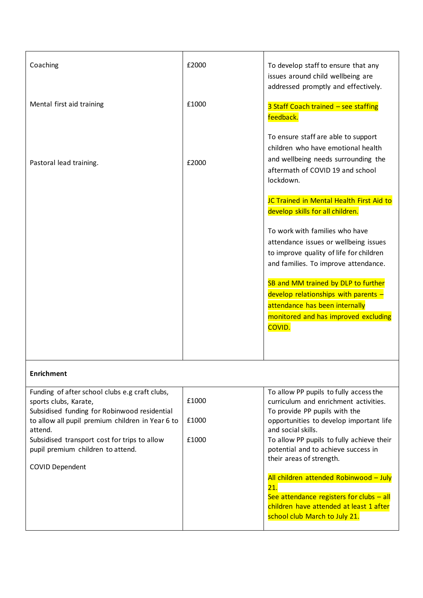| Coaching                  | £2000 | To develop staff to ensure that any<br>issues around child wellbeing are<br>addressed promptly and effectively.                                                          |
|---------------------------|-------|--------------------------------------------------------------------------------------------------------------------------------------------------------------------------|
| Mental first aid training | £1000 | 3 Staff Coach trained - see staffing<br>feedback.                                                                                                                        |
| Pastoral lead training.   | £2000 | To ensure staff are able to support<br>children who have emotional health<br>and wellbeing needs surrounding the<br>aftermath of COVID 19 and school<br>lockdown.        |
|                           |       | JC Trained in Mental Health First Aid to<br>develop skills for all children.                                                                                             |
|                           |       | To work with families who have<br>attendance issues or wellbeing issues<br>to improve quality of life for children<br>and families. To improve attendance.               |
|                           |       | SB and MM trained by DLP to further<br>develop relationships with parents $-$<br>attendance has been internally<br>monitored and has improved excluding<br><b>COVID.</b> |
|                           |       |                                                                                                                                                                          |

### **Enrichment**

| Funding of after school clubs e.g craft clubs,<br>sports clubs, Karate,                                     | £1000 | To allow PP pupils to fully access the<br>curriculum and enrichment activities.                              |
|-------------------------------------------------------------------------------------------------------------|-------|--------------------------------------------------------------------------------------------------------------|
| Subsidised funding for Robinwood residential<br>to allow all pupil premium children in Year 6 to<br>attend. | £1000 | To provide PP pupils with the<br>opportunities to develop important life<br>and social skills.               |
| Subsidised transport cost for trips to allow<br>pupil premium children to attend.                           | £1000 | To allow PP pupils to fully achieve their<br>potential and to achieve success in<br>their areas of strength. |
| <b>COVID Dependent</b>                                                                                      |       |                                                                                                              |
|                                                                                                             |       | All children attended Robinwood - July                                                                       |
|                                                                                                             |       | 21.                                                                                                          |
|                                                                                                             |       | See attendance registers for clubs $-$ all                                                                   |
|                                                                                                             |       | children have attended at least 1 after                                                                      |
|                                                                                                             |       | school club March to July 21.                                                                                |
|                                                                                                             |       |                                                                                                              |